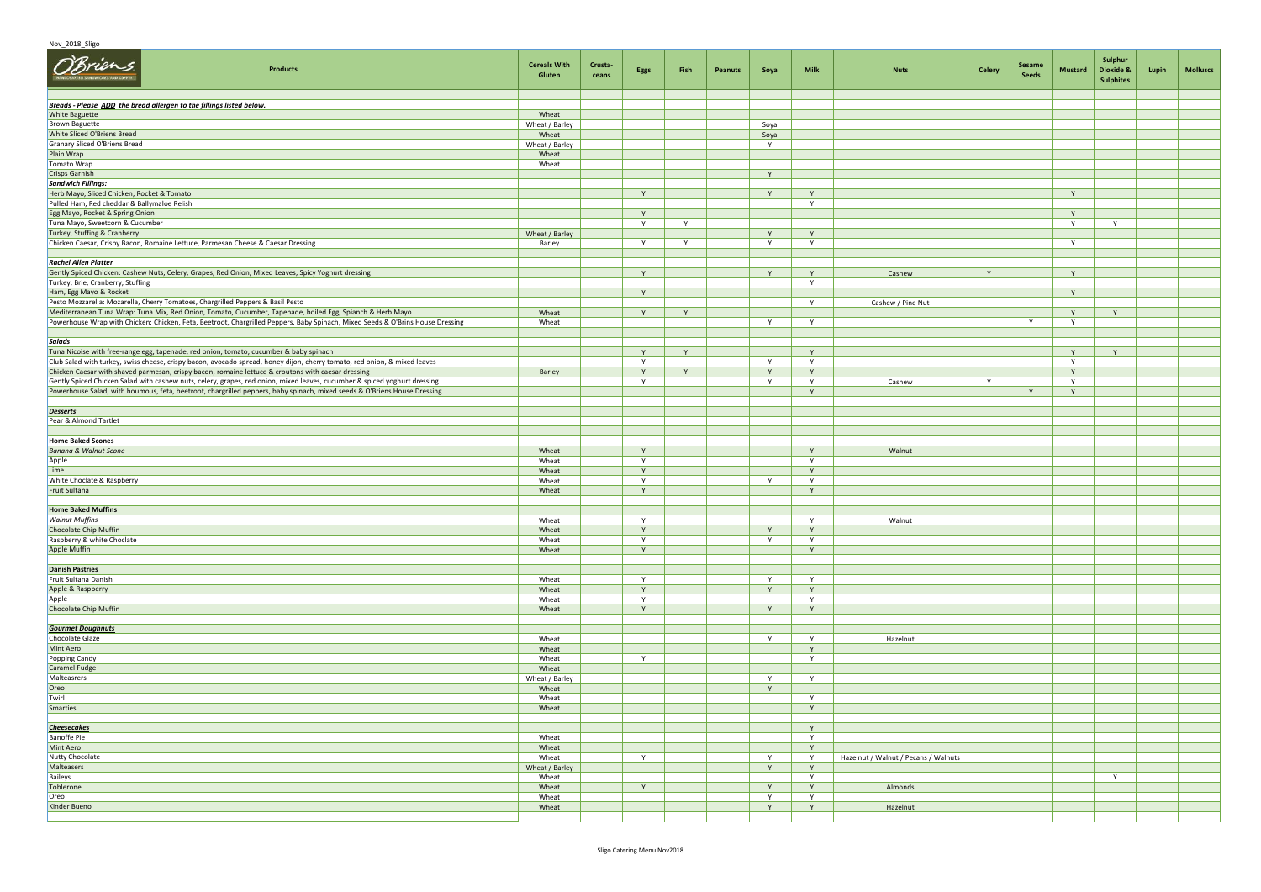## Nov 2018 Sligo

| O'Brien<br>Products                                                                                                                                                                                                                                   | <b>Cereals With</b><br>Gluten | Crusta-<br>ceans | Eggs         | Fish | <b>Peanuts</b> | Soya           | Milk              | <b>Nuts</b>                          | Celery | Sesame<br>Seeds | <b>Mustard</b> | Sulphur<br>Dioxide &<br><b>Sulphites</b> | Lupin | <b>Molluscs</b> |
|-------------------------------------------------------------------------------------------------------------------------------------------------------------------------------------------------------------------------------------------------------|-------------------------------|------------------|--------------|------|----------------|----------------|-------------------|--------------------------------------|--------|-----------------|----------------|------------------------------------------|-------|-----------------|
| Breads - Please ADD the bread allergen to the fillings listed below.                                                                                                                                                                                  |                               |                  |              |      |                |                |                   |                                      |        |                 |                |                                          |       |                 |
| <b>White Baguette</b>                                                                                                                                                                                                                                 | Wheat                         |                  |              |      |                |                |                   |                                      |        |                 |                |                                          |       |                 |
| <b>Brown Baguette</b>                                                                                                                                                                                                                                 | Wheat / Barley                |                  |              |      |                | Soya           |                   |                                      |        |                 |                |                                          |       |                 |
| White Sliced O'Briens Bread                                                                                                                                                                                                                           | Wheat                         |                  |              |      |                | Soya           |                   |                                      |        |                 |                |                                          |       |                 |
| Granary Sliced O'Briens Bread<br>Plain Wrap                                                                                                                                                                                                           | Wheat / Barley<br>Wheat       |                  |              |      |                | Y              |                   |                                      |        |                 |                |                                          |       |                 |
| Tomato Wrap                                                                                                                                                                                                                                           | Wheat                         |                  |              |      |                |                |                   |                                      |        |                 |                |                                          |       |                 |
| <b>Crisps Garnish</b>                                                                                                                                                                                                                                 |                               |                  |              |      |                | Y              |                   |                                      |        |                 |                |                                          |       |                 |
| Sandwich Fillings:                                                                                                                                                                                                                                    |                               |                  |              |      |                |                |                   |                                      |        |                 |                |                                          |       |                 |
| Herb Mayo, Sliced Chicken, Rocket & Tomato                                                                                                                                                                                                            |                               |                  | Y            |      |                | Y              | Y                 |                                      |        |                 | Y              |                                          |       |                 |
| Pulled Ham, Red cheddar & Ballymaloe Relish                                                                                                                                                                                                           |                               |                  |              |      |                |                | $\mathsf{v}$      |                                      |        |                 |                |                                          |       |                 |
| Egg Mayo, Rocket & Spring Onion                                                                                                                                                                                                                       |                               |                  | Y            |      |                |                |                   |                                      |        |                 | Y              |                                          |       |                 |
| Tuna Mayo, Sweetcorn & Cucumber<br>Turkey, Stuffing & Cranberry                                                                                                                                                                                       | Wheat / Barley                |                  | $\mathsf{Y}$ | Y    |                | Y              | Y                 |                                      |        |                 | Y              | Y                                        |       |                 |
| Chicken Caesar, Crispy Bacon, Romaine Lettuce, Parmesan Cheese & Caesar Dressing                                                                                                                                                                      | Barley                        |                  | Y            | Y    |                | Y              | Y                 |                                      |        |                 | Y              |                                          |       |                 |
|                                                                                                                                                                                                                                                       |                               |                  |              |      |                |                |                   |                                      |        |                 |                |                                          |       |                 |
| <b>Rachel Allen Platter</b>                                                                                                                                                                                                                           |                               |                  |              |      |                |                |                   |                                      |        |                 |                |                                          |       |                 |
| Gently Spiced Chicken: Cashew Nuts, Celery, Grapes, Red Onion, Mixed Leaves, Spicy Yoghurt dressing                                                                                                                                                   |                               |                  | Y            |      |                | Y              | Y                 | Cashew                               | Y      |                 | Y              |                                          |       |                 |
| Turkey, Brie, Cranberry, Stuffing                                                                                                                                                                                                                     |                               |                  |              |      |                |                | Y                 |                                      |        |                 |                |                                          |       |                 |
| Ham, Egg Mayo & Rocket<br>Pesto Mozzarella: Mozarella, Cherry Tomatoes, Chargrilled Peppers & Basil Pesto                                                                                                                                             |                               |                  | Y            |      |                |                | Y                 | Cashew / Pine Nut                    |        |                 | Y              |                                          |       |                 |
| Mediterranean Tuna Wrap: Tuna Mix, Red Onion, Tomato, Cucumber, Tapenade, boiled Egg, Spianch & Herb Mayo                                                                                                                                             | Wheat                         |                  | Y            | Y    |                |                |                   |                                      |        |                 | Y              | Y                                        |       |                 |
| Powerhouse Wrap with Chicken: Chicken, Feta, Beetroot, Chargrilled Peppers, Baby Spinach, Mixed Seeds & O'Brins House Dressing                                                                                                                        | Wheat                         |                  |              |      |                | Y              | Y                 |                                      |        | Y               | Y              |                                          |       |                 |
|                                                                                                                                                                                                                                                       |                               |                  |              |      |                |                |                   |                                      |        |                 |                |                                          |       |                 |
| Salads                                                                                                                                                                                                                                                |                               |                  |              |      |                |                |                   |                                      |        |                 |                |                                          |       |                 |
| Tuna Nicoise with free-range egg, tapenade, red onion, tomato, cucumber & baby spinach                                                                                                                                                                |                               |                  | Y            | Y    |                |                | Y                 |                                      |        |                 | Y              | Y                                        |       |                 |
| Club Salad with turkey, swiss cheese, crispy bacon, avocado spread, honey dijon, cherry tomato, red onion, & mixed leaves                                                                                                                             |                               |                  | $\mathsf{Y}$ |      |                | $\mathsf{v}$   | $\mathsf{v}$      |                                      |        |                 | $\mathbf{v}$   |                                          |       |                 |
| Chicken Caesar with shaved parmesan, crispy bacon, romaine lettuce & croutons with caesar dressing                                                                                                                                                    | Barley                        |                  | Y            | Y    |                | Y              | Y                 |                                      |        |                 | Y              |                                          |       |                 |
| Gently Spiced Chicken Salad with cashew nuts, celery, grapes, red onion, mixed leaves, cucumber & spiced yoghurt dressing<br>Powerhouse Salad, with houmous, feta, beetroot, chargrilled peppers, baby spinach, mixed seeds & O'Briens House Dressing |                               |                  | Y            |      |                | Y              | Y<br>Y            | Cashew                               | Y      | Y               | Y<br>Y         |                                          |       |                 |
|                                                                                                                                                                                                                                                       |                               |                  |              |      |                |                |                   |                                      |        |                 |                |                                          |       |                 |
| <b>Desserts</b>                                                                                                                                                                                                                                       |                               |                  |              |      |                |                |                   |                                      |        |                 |                |                                          |       |                 |
| Pear & Almond Tartlet                                                                                                                                                                                                                                 |                               |                  |              |      |                |                |                   |                                      |        |                 |                |                                          |       |                 |
|                                                                                                                                                                                                                                                       |                               |                  |              |      |                |                |                   |                                      |        |                 |                |                                          |       |                 |
| <b>Home Baked Scones</b>                                                                                                                                                                                                                              |                               |                  |              |      |                |                |                   |                                      |        |                 |                |                                          |       |                 |
| <b>Banana &amp; Walnut Scone</b>                                                                                                                                                                                                                      | Wheat                         |                  | Y<br>Y       |      |                |                | $\mathbf{v}$<br>Y | Walnut                               |        |                 |                |                                          |       |                 |
| Apple<br>Lime                                                                                                                                                                                                                                         | Wheat<br>Wheat                |                  | Y            |      |                |                | Y                 |                                      |        |                 |                |                                          |       |                 |
| White Choclate & Raspberry                                                                                                                                                                                                                            | Wheat                         |                  | $\mathsf{Y}$ |      |                | Y              | Y                 |                                      |        |                 |                |                                          |       |                 |
| Fruit Sultana                                                                                                                                                                                                                                         | Wheat                         |                  | Y            |      |                |                | Y                 |                                      |        |                 |                |                                          |       |                 |
|                                                                                                                                                                                                                                                       |                               |                  |              |      |                |                |                   |                                      |        |                 |                |                                          |       |                 |
| <b>Home Baked Muffins</b>                                                                                                                                                                                                                             |                               |                  |              |      |                |                |                   |                                      |        |                 |                |                                          |       |                 |
| <b>Walnut Muffins</b>                                                                                                                                                                                                                                 | Wheat                         |                  | Y            |      |                |                | Y                 | Walnut                               |        |                 |                |                                          |       |                 |
| Chocolate Chip Muffin<br>Raspberry & white Choclate                                                                                                                                                                                                   | Wheat<br>Wheat                |                  | Y<br>Y       |      |                | Y<br>Y         | Y<br>Y            |                                      |        |                 |                |                                          |       |                 |
| Apple Muffin                                                                                                                                                                                                                                          | Wheat                         |                  | Y            |      |                |                | Y                 |                                      |        |                 |                |                                          |       |                 |
|                                                                                                                                                                                                                                                       |                               |                  |              |      |                |                |                   |                                      |        |                 |                |                                          |       |                 |
| <b>Danish Pastries</b>                                                                                                                                                                                                                                |                               |                  |              |      |                |                |                   |                                      |        |                 |                |                                          |       |                 |
| Fruit Sultana Danish                                                                                                                                                                                                                                  | Wheat                         |                  | Y            |      |                | Y              | Y                 |                                      |        |                 |                |                                          |       |                 |
| Apple & Raspberry                                                                                                                                                                                                                                     | Wheat                         |                  | Y            |      |                | $\mathsf{Y}$   | Y                 |                                      |        |                 |                |                                          |       |                 |
| Apple                                                                                                                                                                                                                                                 | Wheat                         |                  | Y            |      |                |                | Y                 |                                      |        |                 |                |                                          |       |                 |
| Chocolate Chip Muffin                                                                                                                                                                                                                                 | Wheat                         |                  | Y            |      |                | Y              | Y                 |                                      |        |                 |                |                                          |       |                 |
| <b>Gourmet Doughnuts</b>                                                                                                                                                                                                                              |                               |                  |              |      |                |                |                   |                                      |        |                 |                |                                          |       |                 |
| Chocolate Glaze                                                                                                                                                                                                                                       | Wheat                         |                  |              |      |                | Y              | Y                 | Hazelnut                             |        |                 |                |                                          |       |                 |
| Mint Aero                                                                                                                                                                                                                                             | Wheat                         |                  |              |      |                |                | Y                 |                                      |        |                 |                |                                          |       |                 |
| Popping Candy                                                                                                                                                                                                                                         | Wheat                         |                  | Y            |      |                |                | Y                 |                                      |        |                 |                |                                          |       |                 |
| Caramel Fudge                                                                                                                                                                                                                                         | Wheat                         |                  |              |      |                |                |                   |                                      |        |                 |                |                                          |       |                 |
| Malteasrers                                                                                                                                                                                                                                           | Wheat / Barley                |                  |              |      |                | $\overline{Y}$ | Y                 |                                      |        |                 |                |                                          |       |                 |
| Oreo<br>Twirl                                                                                                                                                                                                                                         | Wheat<br>Wheat                |                  |              |      |                | Y              | Y                 |                                      |        |                 |                |                                          |       |                 |
| Smarties                                                                                                                                                                                                                                              | Wheat                         |                  |              |      |                |                | Y                 |                                      |        |                 |                |                                          |       |                 |
|                                                                                                                                                                                                                                                       |                               |                  |              |      |                |                |                   |                                      |        |                 |                |                                          |       |                 |
| <b>Cheesecakes</b>                                                                                                                                                                                                                                    |                               |                  |              |      |                |                | Y                 |                                      |        |                 |                |                                          |       |                 |
| <b>Banoffe Pie</b>                                                                                                                                                                                                                                    | Wheat                         |                  |              |      |                |                | Y                 |                                      |        |                 |                |                                          |       |                 |
| Mint Aero                                                                                                                                                                                                                                             | Wheat                         |                  |              |      |                |                | Y                 |                                      |        |                 |                |                                          |       |                 |
| Nutty Chocolate                                                                                                                                                                                                                                       | Wheat                         |                  | Y            |      |                | Y              | Y                 | Hazelnut / Walnut / Pecans / Walnuts |        |                 |                |                                          |       |                 |
| Malteasers                                                                                                                                                                                                                                            | Wheat / Barley                |                  |              |      |                | Y              | Y                 |                                      |        |                 |                |                                          |       |                 |
| Baileys<br>Toblerone                                                                                                                                                                                                                                  | Wheat<br>Wheat                |                  | Y            |      |                | Y              | $\mathsf{v}$<br>Y | Almonds                              |        |                 |                | $\mathsf{v}$                             |       |                 |
| Oreo                                                                                                                                                                                                                                                  | Wheat                         |                  |              |      |                | Y              | Y                 |                                      |        |                 |                |                                          |       |                 |
| Kinder Bueno                                                                                                                                                                                                                                          | Wheat                         |                  |              |      |                | Y              | Y                 | Hazelnut                             |        |                 |                |                                          |       |                 |
|                                                                                                                                                                                                                                                       |                               |                  |              |      |                |                |                   |                                      |        |                 |                |                                          |       |                 |